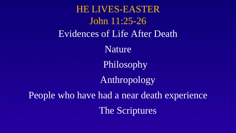HE LIVES-EASTER John 11:25-26 Evidences of Life After Death Nature Philosophy Anthropology People who have had a near death experience The Scriptures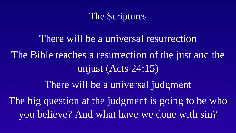

There will be a universal resurrection The Bible teaches a resurrection of the just and the unjust (Acts 24:15) There will be a universal judgment The big question at the judgment is going to be who you believe? And what have we done with sin?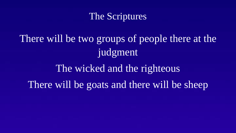## The Scriptures

There will be two groups of people there at the judgment

The wicked and the righteous There will be goats and there will be sheep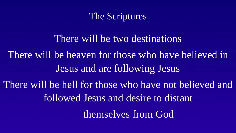The Scriptures

There will be two destinations There will be heaven for those who have believed in Jesus and are following Jesus There will be hell for those who have not believed and followed Jesus and desire to distant themselves from God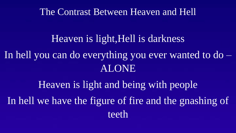The Contrast Between Heaven and Hell

# Heaven is light,Hell is darkness

In hell you can do everything you ever wanted to do – ALONE

Heaven is light and being with people In hell we have the figure of fire and the gnashing of teeth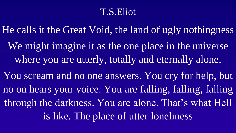## T.S.Eliot

He calls it the Great Void, the land of ugly nothingness We might imagine it as the one place in the universe where you are utterly, totally and eternally alone.

You scream and no one answers. You cry for help, but no on hears your voice. You are falling, falling, falling through the darkness. You are alone. That's what Hell is like. The place of utter loneliness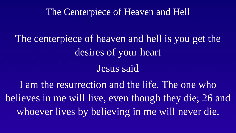#### The Centerpiece of Heaven and Hell

The centerpiece of heaven and hell is you get the desires of your heart

#### Jesus said

I am the resurrection and the life. The one who believes in me will live, even though they die; 26 and whoever lives by believing in me will never die.